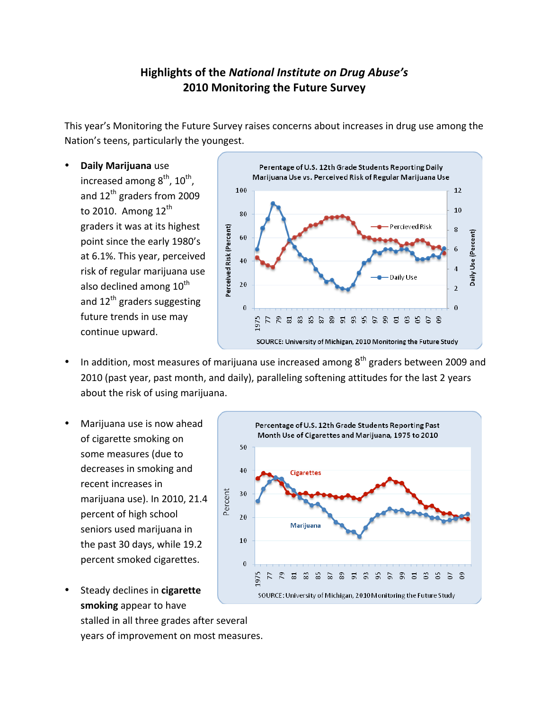## Highlights of the National Institute on Drug Abuse's **2010 Monitoring the Future Survey**

This year's Monitoring the Future Survey raises concerns about increases in drug use among the Nation's teens, particularly the youngest.

**Daily Marijuana** use increased among  $8<sup>th</sup>$ ,  $10<sup>th</sup>$ , and 12<sup>th</sup> graders from 2009 to 2010. Among  $12^{th}$ graders it was at its highest point since the early 1980's at 6.1%. This year, perceived risk of regular marijuana use also declined among 10<sup>th</sup> and  $12^{th}$  graders suggesting future trends in use may continue upward.



- In addition, most measures of marijuana use increased among  $8<sup>th</sup>$  graders between 2009 and 2010 (past year, past month, and daily), paralleling softening attitudes for the last 2 years about the risk of using marijuana.
- Marijuana use is now ahead of cigarette smoking on some measures (due to decreases in smoking and recent increases in marijuana use). In 2010, 21.4 percent of high school seniors used marijuana in the past 30 days, while 19.2 percent smoked cigarettes.



Steady declines in **cigarette** smoking appear to have

stalled in all three grades after several years of improvement on most measures.